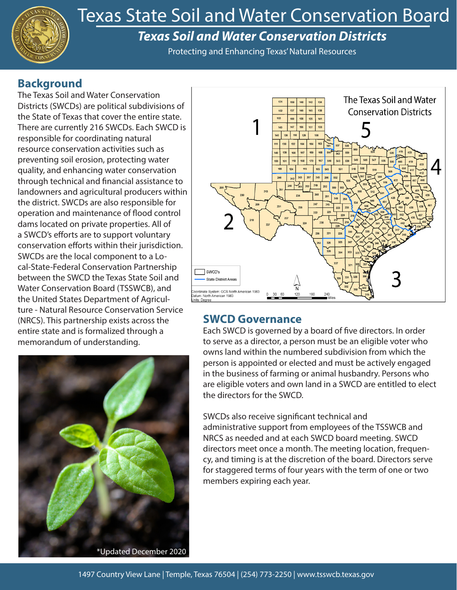

# Texas State Soil and Water Conservation Board

# *Texas Soil and Water Conservation Districts*

Protecting and Enhancing Texas' Natural Resources

# **Background**

The Texas Soil and Water Conservation Districts (SWCDs) are political subdivisions of the State of Texas that cover the entire state. There are currently 216 SWCDs. Each SWCD is responsible for coordinating natural resource conservation activities such as preventing soil erosion, protecting water quality, and enhancing water conservation through technical and financial assistance to landowners and agricultural producers within the district. SWCDs are also responsible for operation and maintenance of flood control dams located on private properties. All of a SWCD's efforts are to support voluntary conservation efforts within their jurisdiction. SWCDs are the local component to a Local-State-Federal Conservation Partnership between the SWCD the Texas State Soil and Water Conservation Board (TSSWCB), and the United States Department of Agriculture - Natural Resource Conservation Service (NRCS). This partnership exists across the entire state and is formalized through a memorandum of understanding.





# **SWCD Governance**

Each SWCD is governed by a board of five directors. In order to serve as a director, a person must be an eligible voter who owns land within the numbered subdivision from which the person is appointed or elected and must be actively engaged in the business of farming or animal husbandry. Persons who are eligible voters and own land in a SWCD are entitled to elect the directors for the SWCD.

SWCDs also receive significant technical and administrative support from employees of the TSSWCB and NRCS as needed and at each SWCD board meeting. SWCD directors meet once a month. The meeting location, frequency, and timing is at the discretion of the board. Directors serve for staggered terms of four years with the term of one or two members expiring each year.